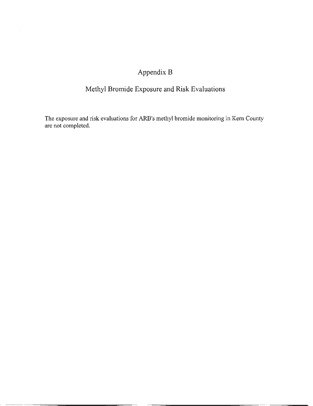## Appendix B

 $\bar{z}$ 

## Methyl Bromide Exposure and Risk Evaluations

The exposure and risk evaluations for ARB's methyl bromide monitoring in Kern County are not completed.

 $\frac{1}{2}$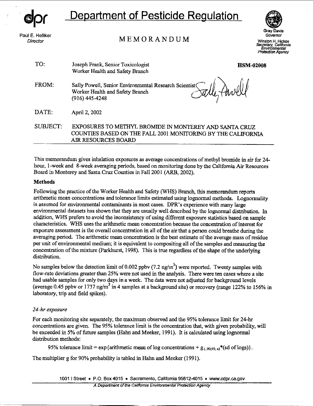

*Director* 

# **Department of Pesticide Regulation**

MEMORANDUM

Gray Davis<br>Gray Davis<br>Sovernor<br>**H. Hicko** 

**Governor Winston H. Hickox**  Secretary, California<br>Environmemal<br>Protection Agency

| TO:      | Joseph Frank, Senior Toxicologist<br>Worker Health and Safety Branch                                                                          | <b>HSM-02008</b> |
|----------|-----------------------------------------------------------------------------------------------------------------------------------------------|------------------|
| FROM:    | Sally Powell, Senior Environmental Research Scientist(<br>Worker Health and Safety Branch<br>$(916)$ 445-4248                                 |                  |
| DATE:    | April 2, 2002                                                                                                                                 |                  |
| SUBJECT: | EXPOSURES TO METHYL BROMIDE IN MONTEREY AND SANTA CRUZ<br>COUNTIES BASED ON THE FALL 2001 MONITORING BY THE CALIFORNIA<br>AIR RESOURCES BOARD |                  |

This memorandum gives inhalation exposures as average concentrations of methyl bromide in air for 24 hour, I-week and 8-week averaging periods, based on monitoring done by the California Air Resources Board in Monterey and Santa Cruz Counties in Fall 2001 (ARB, 2002).

## **Methods**

Following the practice of the Worker Health and Safety (WHS) Branch, this memorandum reports arithmetic mean concentrations and tolerance limits estimated using lognormal methods. Lognormality is assumed for environmental contaminants in most cases. DPR's experience with many large environmental datasets has shown that they are usually well described by the lognormal distribution. In addition, WHS prefers to avoid the inconsistency of using different exposure statistics based on sample characteristics. WHS uses the arithmetic mean concentration because the concentration of interest for exposure assessment is the overall concentration in all of the air that a person could breathe during the averaging period. The arithmetic mean concentration is the best estimate of the average mass of residue per unit of environmental medium; it is equivalent to compositing all of the samples and measuring the concentration of the mixture (Parkhurst, 1998). This is true regardless of the shape of the underlying distribution.

No samples below the detection limit of 0.002 ppbv (7.2 ng/m<sup>3</sup>) were reported. Twenty samples with flow-rate deviations greater than 25% were not used in the analysis. There were ten cases where a site had usable samples for only two days in a week. The data were not adjusted for background levels (average 0.45 ppbv or 1737 ng/m<sup>3</sup> in 4 samples at a background site) or recovery (range 122% to 156% in laboratory, trip and field spikes).

## *24-hr exposure*

For each monitoring site separately, the maximum observed and the 95% tolerance limit for 24-hr concentrations are given. The 95% tolerance limit is the concentration that, with given probability, will be exceeded in 5% of future samples (Hahn and Meeker, 1991). It is calculated using lognormal distribution methods:

95% tolerance limit =  $\exp{\{\text{arithmetic mean of log concentrations + g} \cdot \mathbf{g}_{\ell \text{ odd}}, \cdot\}}$ .

The multiplier g for 90% probability is tabled in Hahn and Meeker (1991).

1001 I Street • P.O. Box 4015 • Sacramento, California 95812-4015 • www.cdpr.ca.gov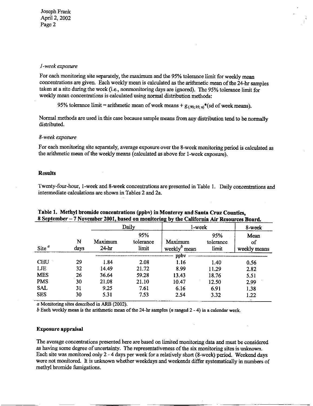#### *I -week exposure*

For each monitoring site separately, the maximum and the 95% tolerance limit for weekly mean concentrations are given. Each weekly mean is calculated as the arithmetic mean of the 24-hr samples taken at a site during the week (i.e., nonmonitoring days are ignored). The 95% tolerance limit for weekly mean concentrations is calculated using normal distribution methods:

95% tolerance limit = arithmetic mean of week means +  $g_{(.90; .95; n)}$ <sup>\*</sup>(sd of week means).

Normal methods are used in this case because sample means from any distribution tend to be normally distributed.

### *8-week exposure*

For each monitoring site separately, average exposure over the 8-week monitoring period is calculated as the arithmetic mean of the weekly means (calculated as above for !-week exposure).

#### **Results**

Twenty-four-hour, !-week and 8-week concentrations are presented in Table I. Daily concentrations and intermediate calculations are shown in Tables 2 and 2a.

|            |           |                    | Daily                     | l-week                                                |                           | 8-week                     |
|------------|-----------|--------------------|---------------------------|-------------------------------------------------------|---------------------------|----------------------------|
| Site $^a$  | N<br>days | Maximum<br>$24-hr$ | 95%<br>tolerance<br>limit | Maximum<br>weekly <sup><math>\theta</math></sup> mean | 95%<br>tolerance<br>limit | Mean<br>of<br>weekly means |
|            |           |                    |                           | ppby                                                  |                           |                            |
| <b>CHU</b> | 29        | 1.84               | 2.08                      | 1.16                                                  | 1.40                      | 0.56                       |
| LJE        | 32        | 14.49              | 21.72                     | 8.99                                                  | 11.29                     | 2.82                       |
| <b>MES</b> | 26        | 36.64              | 59.28                     | 13.43                                                 | 18.76                     | 5.51                       |
| <b>PMS</b> | 30        | 21.08              | 21.10                     | 10.47                                                 | 12.50                     | 2.99                       |
| <b>SAL</b> | 31        | 9.25               | 7.61                      | 6.16                                                  | 6.91                      | 1.38                       |
| <b>SES</b> | 30        | 5.31               | 7.53                      | 2.54                                                  | 3.32                      | 1.22                       |

### **Table 1. Methyl bromide concentrations (ppbv) in Monterey and Santa Cruz Counties, 8 September- 7 November 2001, based on mouitorin2 bv the California Air Resources Board.**

a Monitoring sites described in ARB (2002).

b Each weekly mean is the arithmetic mean of the 24-hr samples (*n* ranged  $2 - 4$ ) in a calendar week.

#### **Exposure appraisal**

The average concentrations presented here are based on limited monitoring data and must be considered as having some degree of uncertainty. The representativeness of the six monitoring sites is unknown. Each site was monitored only 2 - 4 days per week for a relatively short (8-week) period. Weekend days were not monitored. It is unknown whether weekdays and weekends differ systematically in numbers of methyl bromide fumigations.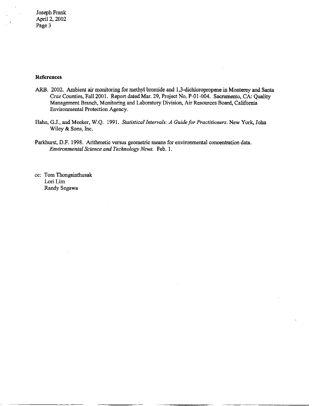### **References**

- ARB. 2002. Ambient air monitoring for methyl bromide and 1,3-dichloropropene in Monterey and Santa Cruz Counties, Fall 2001. Report dated Mar. 29, Project No. P-01-004. Sacramento, CA: Quality Management Branch, Monitoring and Laboratory Division, Air Resources Board, California Environmental Protection Agency.
- Hahn, G.J., and Meeker, W.Q. 1991. *Statistical Intervals: A Guide for Practitioners.* New York, John Wiley & Sons, Inc.
- Parkhurst, D.F. 1998. Arithmetic versus geometric means for environmental concentration data. *Environmental Science and Technology News.* Feb. I.

cc: Tom Thongsinthusak Lori Lim Randy Segawa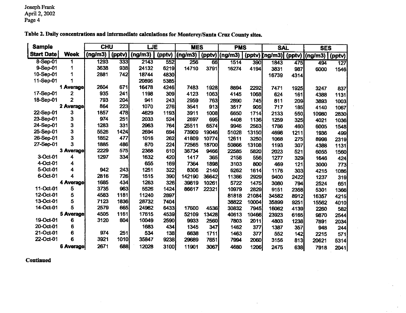| <b>Sample</b>     |             | <b>CHU</b> |        | LJE     |        | <b>MES</b> |       | <b>PMS</b>       |       | <b>SAL</b>            |      | <b>SES</b> |        |
|-------------------|-------------|------------|--------|---------|--------|------------|-------|------------------|-------|-----------------------|------|------------|--------|
| <b>Start Date</b> | <b>Week</b> | (ng/m3)    | (pptv) | (ng/m3) | (pptv) | (ng/m3)    |       | $(pptv)$ (ng/m3) |       | (pptv) (ng/m3) (pptv) |      | (ng/m3)    | (pptv) |
| 8-Sep-01          | 1           | 1293       | 333    | 2143    | 552    | 256        | 66    | 1514             | 390   | 1843                  | 475  | 494        | 127    |
| 9-Sep-01          | 1           | 3638       | 938    | 24132   | 6219   | 14710      | 3791  | 16274            | 4194  | 3831                  | 987  | 6000       | 1546   |
| 10-Sep-01         | 1           | 2881       | 742    | 18744   | 4830   |            |       |                  |       | 16739                 | 4314 |            |        |
| 11-Sep-01         |             |            |        | 20895   | 5385   |            |       |                  |       |                       |      |            |        |
|                   | 1 Average   | 2604       | 671    | 16478   | 4246   | 7483       | 1928  | 8894             | 2292  | 7471                  | 1925 | 3247       | 837    |
| 17-Sep-01         | 2           | 935        | 241    | 1198    | 309    | 4123       | 1063  | 4145             | 1068  | 624                   | 161  | 4388       | 1131   |
| 18-Sep-01         | 2           | 793        | 204    | 941     | 243    | 2959       | 763   | 2890             | 745   | 811                   | 209  | 3893       | 1003   |
|                   | 2 Average   | 864        | 223    | 1070    | 276    | 3541       | 913   | 3517             | 906   | 717                   | 185  | 4140       | 1067   |
| 22-Sep-01         | 3           | 1857       | 478    | 4629    | 1193   | 3911       | 1008  | 6650             | 1714  | 2133                  | 550  | 10980      | 2830   |
| 23-Sep-01         | 3           | 974        | 251    | 2033    | 524    | 2697       | 695   | 4408             | 1136  | 1259                  | 325  | 4021       | 1036   |
| 24-Sep-01         | 3           | 1283       | 331    | 2963    | 764    | 25511      | 6574  | 9946             | 2563  | 1786                  | 460  | 6005       | 1548   |
| 25-Sep-01         | 3           | 5526       | 1424   | 2694    | 694    | 73909      | 19046 | 51028            | 13150 | 4698                  | 1211 | 1936       | 499    |
| 26-Sep-01         | 3           | 1852       | 477    | 1016    | 262    | 41809      | 10774 | 12611            | 3250  | 1068                  | 275  | 8998       | 2319   |
| 27-Sep-01         | 3           | 1885       | 486    | 870     | 224    | 72565      | 18700 | 50866            | 13108 | 1193                  | 307  | 4388       | 1131   |
|                   | 3 Average   | 2229       | 575    | 2368    | 610    | 36734      | 9466  | 22585            | 5820  | 2023                  | 521  | 6055       | 1560   |
| 3-Oct-01          | 4           | 1297       | 334    | 1632    | 420    | 1417       | 365   | 2158             | 556   | 1277                  | 329  | 1646       | 424    |
| 4-Oct-01          | 4           |            |        | 655     | 169    | 7364       | 1898  | 3103             | 800   | 469                   | 121  | 3000       | 773    |
| 5-Oct-01          | 4           | 942        | 243    | 1251    | 322    | 8306       | 2140  | 6262             | 1614  | 1176                  | 303  | 4215       | 1086   |
| 6-Oct-01          | 4           | 2816       | 726    | 1515    | 390    | 142190     | 36642 | 11366            | 2929  | 9400                  | 2422 | 1237       | 319    |
|                   | 4 Average   | 1685       | 434    | 1263    | 326    | 39819      | 10261 | 5722             | 1475  | 3080                  | 794  | 2524       | 651    |
| 11-Oct-01         | 5           | 3735       | 963    | 5526    | 1424   | 86617      | 22321 | 10979            | 2829  | 9151                  | 2358 | 5301       | 1366   |
| 12-Oct-01         | 5           | 4583       | 1181   | 11240   | 2897   |            |       | 81818            | 21084 | 34582                 | 8912 | 16357      | 4215   |
| 13-Oct-01         | 5           | 7123       | 1836   | 28732   | 7404   |            |       | 38822            | 10004 | 35899                 | 9251 | 15562      | 4010   |
| 14-Oct-01         | 5           | 2579       | 665    | 24962   | 6433   | 17600      | 4536  | 30832            | 7945  | 16062                 | 4139 | 2260       | 582    |
|                   | 5 Average   | 4505       | 1161   | 17615   | 4539   | 52109      | 13428 | 40613            | 10466 | 23923                 | 6165 | 9870       | 2544   |
| 19-Oct-01         | 6           | 3120       | 804    | 10049   | 2590   | 9933       | 2560  | 7803             | 2011  | 4803                  | 1238 | 7891       | 2034   |
| 20-Oct-01         | 6           |            |        | 1683    | 434    | 1345       | 347   | 1462             | 377   | 1387                  | 357  | 948        | 244    |
| 21-Oct-01         | 6           | 974        | 251    | 534     | 138    | 6638       | 1711  | 1463             | 377   | 552                   | 142  | 2215       | 571    |
| 22-Oct-01         | 6           | 3921       | 1010   | 35847   | 9238   | 29689      | 7651  | 7994             | 2060  | 3156                  | 813  | 20621      | 5314   |
|                   | 6 Average   | 2671       | 688    | 12028   | 3100   | 11901      | 3067  | 4680             | 1206  | 2475                  | 638  | 7918       | 2041   |

**Table 2. Daily concentrations and intermediate calculations for Monterey/Santa Cruz County sites.** 

**Continued**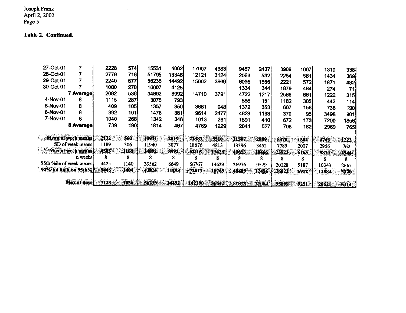#### **Table 2. Continued.**

| 27-Oct-01               |                     | 2228 | 574   | 15531 | 4002  | 17007  | 4383  | 9457  | 24371 | 3909  | 1007  | 1310  | 338   |
|-------------------------|---------------------|------|-------|-------|-------|--------|-------|-------|-------|-------|-------|-------|-------|
| 28-Oct-01               | 7                   | 2779 | 716   | 51795 | 13348 | 12121  | 3124  | 2063  | 532   | 2254  | 581   | 1434  | 369   |
| 29-Oct-01               |                     | 2240 | 577   | 56236 | 14492 | 15002  | 3866  | 6036  | 1555] | 2221  | 572   | 1871  | 482   |
| 30-Oct-01               |                     | 1080 | 278   | 16007 | 4125  |        |       | 1334  | 344   | 1879  | 484   | 274   | 71    |
|                         | 7 Average)          | 2082 | 536   | 34892 | 8992  | 14710  | 3791  | 4722  | 1217  | 2566  | 661   | 1222  | 315   |
| 4-Nov-01                | 8                   | 1115 | 287   | 3076  | 793   |        |       | 586   | 151   | 1182  | 305   | 442   | 114   |
| 5-Nov-01                | 8                   | 409  | 105   | 1357  | 350   | 3681   | 948   | 1372  | 353   | 607   | 156   | 736   | 190   |
| 6-Nov-01                | 8                   | 392  | 101   | 1478  | 381   | 9614   | 2477  | 4628  | 1193  | 370   | 95    | 3498  | 901   |
| 7-Nov-01                | 8                   | 1040 | 268   | 1342  | 346   | 1013   | 261   | 1591  | 410   | 672   | 1731  | 7200  | 1856  |
|                         | <b>8 Average</b>    | 739  | 190   | 1814  | 467   | 4769   | 1229  | 2044  | 527   | 708   | 182   | 2969  | 765   |
|                         |                     |      |       |       |       |        |       |       |       |       |       |       |       |
|                         | Mean of week means  | 2172 | 560   | 10941 | 2819  | 21383  | 5510  | 11597 | 2989  | 5370  | 1384  | 4743  | 1222  |
|                         | SD of week means    | 1189 | 306   | 11940 | 3077  | 18676  | 4813  | 13396 | 3452  | 7789  | 2007  | 2956  | 762   |
|                         | Max of week means   | 4505 | A161. | 34892 | 8992  | 52109  | 13428 | 40613 | 10466 | 23923 | 6165  | 9870  | 2544  |
|                         | n weeks             | 8    | 8     |       | 8     | X      | 8     | 8     | ጸ     | 8     | ጸ     |       |       |
| 95th %ile of week means |                     | 4425 | 1140  | 33562 | 8649  | 56767  | 14629 | 36976 | 9529  | 20128 | 5187  | 10343 | 2665  |
| 90% tol limit on 95th%  |                     | 5446 | 1404  | 43824 | 11293 | 72817  | 18765 | 48489 | 12496 | 26822 | 6912  | 12884 | 3320  |
|                         |                     |      |       |       |       |        |       |       |       |       |       |       |       |
|                         | <b>Max of days!</b> | 7123 | 1836  | 56236 | 14492 | 142190 | 36642 | 81818 | 21084 | 35899 | 925 E | 20621 | 5314. |

 $\sim 10^6$ 

 $\mathcal{L}^{\text{max}}_{\text{max}}$ 

 $\sim 10^7$ 

 $\sim$ 

 $\mathcal{A}^{\mathcal{A}}$ 

 $\sim$ 

 $\alpha$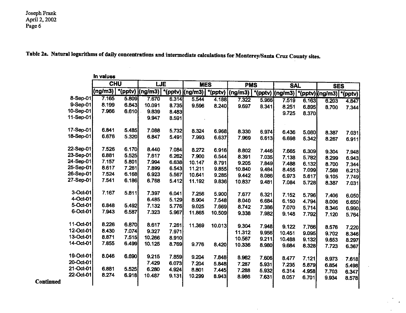**Continued** 

**Table 2a. Natural logarithms of daily concentrations and intermediate calculations for Monterey/Santa Cruz County sites.** 

|           | In values  |       |                          |       |                   |                      |            |       |                                             |       |                |       |
|-----------|------------|-------|--------------------------|-------|-------------------|----------------------|------------|-------|---------------------------------------------|-------|----------------|-------|
|           | <b>CHU</b> |       | LJE                      |       | <b>MES</b>        |                      | <b>PMS</b> |       | <b>SAL</b>                                  |       | <b>SES</b>     |       |
|           | (ng/m3)    |       | $*($ pptv $)($ ng/m3 $)$ |       | *(pptv) $(ng/m3)$ | $\sqrt{\frac{1}{2}}$ | (ng/m3)    |       | "(pptv) (ng/m3)   *(pptv) (ng/m3)   *(pptv) |       |                |       |
| 8-Sep-01) | 7.165      | 5.809 | 7.670                    | 6.314 | 5.544             | 4.188                | 7.322      | 5.966 | 7.519                                       | 6.163 | 6.203          | 4.847 |
| 9-Sep-01  | 8.199      | 6.843 | 10.091                   | 8.735 | 9.596             | 8.240                | 9.697      | 8.341 | 8.251                                       | 6.895 | 8.700          | 7.344 |
| 10-Sep-01 | 7.966      | 6.610 | 9.839                    | 8.483 |                   |                      |            |       | 9.725                                       | 8.370 |                |       |
| 11-Sep-01 |            |       | 9.947                    | 8.591 |                   |                      |            |       |                                             |       |                |       |
| 17-Sep-01 |            |       |                          |       |                   |                      |            |       |                                             |       |                |       |
|           | 6.841      | 5.485 | 7.088                    | 5.732 | 8.324             | 6.968                | 8.330      | 6.974 | 6.436                                       | 5.080 | 8.387          | 7.031 |
| 18-Sep-01 | 6.676      | 5.320 | 6.847                    | 5.491 | 7.993             | 6.637                | 7.969      | 6.613 | 6.698                                       | 5.342 | 8.267          | 6.911 |
| 22-Sep-01 | 7.526      | 6.170 | 8.440                    | 7.084 | 8.272             | 6.916                | 8.802      | 7.446 | 7.665                                       | 6.309 |                |       |
| 23-Sep-01 | 6.881      | 5.525 | 7.617                    | 6.262 | 7.900             | 6.544                | 8.391      | 7.035 | 7.138                                       | 5.782 | 9.304          | 7.948 |
| 24-Sep-01 | 7.157      | 5.801 | 7.994                    | 6.638 | 10.147            | 8.791                | 9.205      | 7.849 | 7.488                                       | 6.132 | 8.299          | 6.943 |
| 25-Sep-01 | 8.617      | 7.261 | 7.899                    | 6.543 | 11.211            | 9.855                | 10.840     | 9.484 | 8.455                                       | 7.099 | 8.700          | 7.344 |
| 26-Sep-01 | 7.524      | 6.168 | 6.923                    | 5.567 | 10.641            | 9.285                | 9.442      | 8.086 | 6.973                                       | 5.617 | 7.568<br>9.105 | 6.213 |
| 27-Sep-01 | 7.541      | 6.186 | 6.768                    | 5.412 | 11.192            | 9.836                | 10.837     | 9.481 | 7.084                                       | 5.728 |                | 7.749 |
|           |            |       |                          |       |                   |                      |            |       |                                             |       | 8.387          | 7.031 |
| 3-Oct-01  | 7.167      | 5.811 | 7.397                    | 6.041 | 7.256             | 5.900                | 7.677      | 6.321 | 7.152                                       | 5.796 | 7.406          | 6,050 |
| 4-Oct-01  |            |       | 6.485                    | 5.129 | 8.904             | 7.548                | 8.040      | 6.684 | 6.150                                       | 4.794 | 8.006          | 6.650 |
| 5-Oct-01  | 6.848      | 5.492 | 7.132                    | 5.776 | 9.025             | 7.669                | 8.742      | 7.386 | 7.070                                       | 5.714 | 8.346          | 6.990 |
| 6-Oct-01  | 7.943      | 6.587 | 7.323                    | 5.967 | 11.865            | 10.509               | 9.338      | 7.982 | 9.148                                       | 7.792 | 7.120          | 5.764 |
|           |            |       |                          |       |                   |                      |            |       |                                             |       |                |       |
| 11-Oct-01 | 8.226      | 6.870 | 8.617                    | 7.261 | 11.369            | 10.013               | 9.304      | 7.948 | 9.122                                       | 7.766 | 8.576          | 7.220 |
| 12-Oct-01 | 8.430      | 7.074 | 9.327                    | 7.971 |                   |                      | 11.312     | 9.956 | 10.451                                      | 9.095 | 9.702          | 8.346 |
| 13-Oct-01 | 8.871      | 7.515 | 10.266                   | 8.910 |                   |                      | 10.567     | 9.211 | 10.488                                      | 9.132 | 9.653          | 8.297 |
| 14-Oct-01 | 7.855      | 6.499 | 10.125                   | 8.769 | 9.776             | 8.420                | 10.336     | 8.980 | 9.684                                       | 8.328 | 7.723          | 6.367 |
|           |            |       |                          |       |                   |                      |            |       |                                             |       |                |       |
| 19-Oct-01 | 8.046      | 6.690 | 9.215                    | 7.859 | 9.204             | 7.848                | 8.962      | 7.606 | 8.477                                       | 7.121 | 8.973          | 7.618 |
| 20-Oct-01 |            |       | 7.429                    | 6.073 | 7.204             | 5.848                | 7.287      | 5.931 | 7.235                                       | 5.879 | 6.854          | 5.498 |
| 21-Oct-01 | 6.881      | 5.525 | 6.280                    | 4.924 | 8.801             | 7.445                | 7.288      | 5.932 | 6.314                                       | 4.958 | 7.703          | 6.347 |
| 22-Oct-01 | 8.274      | 6.918 | 10.487                   | 9.131 | 10.299            | 8.943                | 8.986      | 7.631 | 8.057                                       | 6.701 | 9.934          | 8.578 |
|           |            |       |                          |       |                   |                      |            |       |                                             |       |                |       |
|           |            |       |                          |       |                   |                      |            |       |                                             |       |                |       |

 $\sim$ 

 $\omega$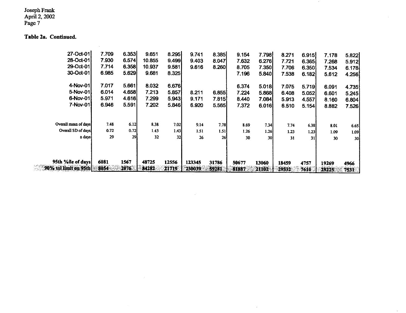#### **Table 2a. Continued.**

 $\mathbb{R}^2$ 

 $\sim 10^{-1}$ 

| 90% tol limit on 95th | 8054  | 2076  | 84282  | 21719 | 230039 | 59281 | 81887 | 21102     | 18459<br>29532 | 4757<br>7610 | 19269 | 4966            |
|-----------------------|-------|-------|--------|-------|--------|-------|-------|-----------|----------------|--------------|-------|-----------------|
| 95th %ile of days     | 6081  | 1567  | 48725  | 12556 | 123345 | 31786 | 50677 | 13060     |                |              |       |                 |
| n days:               | 29    | 29    | 32     | 32    | 26     | 26    | 30    | <b>30</b> | 31             | 31           | 30    | 30 <sub>l</sub> |
| Overall SD of days    | 0.72  | 0.72  | 1.43   | 1.43  | 1.51   | 1.51  | 1.26  | 1.26      | 1.23           | 1.23         | 1.09  | 1.09            |
| Overall mean of days  | 7.48  | 6.12  | 8.38   | 7.02  | 9.14   | 7.78  | 8.69  | 7.34I     | 7.74           | 6.38         | 8.01  | 6.65            |
| 7-Nov-01              | 6.946 | 5.591 | 7.202  | 5.846 | 6.920  | 5.565 | 7.372 | 6.016     | 6.510          | 5.154        | 8.882 | 7.526           |
| 6-Nov-01              | 5.971 | 4.616 | 7.299  | 5.943 | 9.171  | 7.815 | 8.440 | 7.084     | 5.913          | 4.557        | 8.160 | 6.804           |
| 5-Nov-01              | 6.014 | 4.658 | 7.213  | 5.857 | 8.211  | 6.855 | 7.224 | 5.868     | 6.408          | 5.052        | 6.601 | 5.245           |
| 4-Nov-01              | 7.017 | 5.661 | 8.032  | 6.676 |        |       | 6.374 | 5.018     | 7.075          | 5.719        | 6.091 | 4.735           |
| 30-Oct-01             | 6.985 | 5.629 | 9.681  | 8.325 |        |       | 7.196 | 5.840     | 7.538          | 6.182        | 5.612 | 4.256           |
| 29-Oct-01             | 7.714 | 6.358 | 10.937 | 9.581 | 9.616  | 8.260 | 8.705 | 7.350     | 7.706          | 6.350        | 7.534 | 6.178           |
| 28-Oct-01             | 7.930 | 6.574 | 10.855 | 9.499 | 9.403  | 8.047 | 7.632 | 6.276     | 7.721          | 6.365        | 7.268 | 5.912           |
| 27-Oct-01             | 7.709 | 6.353 | 9.651  | 8.295 | 9.741  | 8.385 | 9.154 | 7.798     | 8.271          | 6.915        | 7.178 | 5.822           |

 $\sim 10^7$ 

 $\sim 10^{-1}$ 

 $\sim$   $\sigma$   $_{\odot}$ 

 $\sim$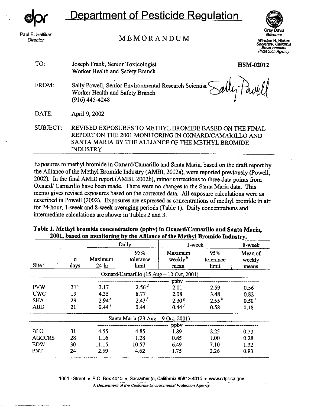**dpr** 

Paul E. Helliker Director

INDUSTRY

**Department of Pesticide Regulation** 

MEMORANDUM



**Governor**  Winston H. Hickox Secretary, California<br>**Environmental Protection Agency** 

|          |                                                                                                                                                                      | Protection       |
|----------|----------------------------------------------------------------------------------------------------------------------------------------------------------------------|------------------|
| TO:      | Joseph Frank, Senior Toxicologist<br>Worker Health and Safety Branch                                                                                                 | <b>HSM-02012</b> |
| FROM:    | Sally Powell, Senior Environmental Research Scientist Sally Pawll<br>$(916)$ 445-4248                                                                                |                  |
| DATE:    | April 9, 2002                                                                                                                                                        |                  |
| SUBJECT: | REVISED EXPOSURES TO METHYL BROMIDE BASED ON THE FINAL<br>REPORT ON THE 2001 MONITORING IN OXNARD/CAMARILLO AND<br>SANTA MARIA BY THE ALLIANCE OF THE METHYL BROMIDE |                  |

Exposures to methyl bromide in Oxnard/Camarillo and Santa Maria, based on the draft report by the Alliance of the Methyl Bromide Industry (AMBI, 2002a), were reported previously (Powell, 2002). In the final AMBI report (AMBI, 2002b), minor corrections to three data points from Oxnard/ Camarillo have been made. There were no changes to the Santa Maria data. This memo gives revised exposures based on the corrected data. All exposure calculations were as described in Powell (2002). Exposures are expressed as concentrations of methyl bromide in air for 24-hour, I-week and 8-week averaging periods (Table I). Daily concentrations and intermediate calculations are shown in Tables 2 and 3.

|                   |                 |                    |                                    | or ene haven yn ni omnew meuser y.       |                           |                            |
|-------------------|-----------------|--------------------|------------------------------------|------------------------------------------|---------------------------|----------------------------|
|                   |                 |                    | Daily                              | l-week                                   |                           | 8-week                     |
| Site <sup>a</sup> | n<br>days       | Maximum<br>$24-hr$ | 95%<br>tolerance<br>limit          | Maximum<br>weekly $^{b}$<br>mean         | 95%<br>tolerance<br>limit | Mean of<br>weekly<br>means |
|                   |                 |                    |                                    | Oxnard/Camarillo (15 Aug - 10 Oct, 2001) |                           |                            |
|                   |                 |                    |                                    | ppbv                                     |                           |                            |
| <b>PVW</b>        | 31 <sup>c</sup> | 3.17               | 2.56 <sup>d</sup>                  | 2.01                                     | 2.59                      | 0.56                       |
| <b>UWC</b>        | 19              | 4.35               | 8.77                               | 2.08                                     | 3.48                      | 0.82                       |
| <b>SHA</b>        | 29              | 2.94 <sup>e</sup>  | $2.43^{f}$                         | 2.30 <sup>g</sup>                        | 2.55 <sup>h</sup>         | $0.50^{t}$                 |
| <b>ABD</b>        | 21              | $0.44^{j}$         | 0.44                               | $0.44^{j}$                               | 0.58                      | 0.18                       |
|                   |                 |                    | Santa Maria (23 Aug – 9 Oct, 2001) |                                          |                           |                            |
|                   |                 |                    |                                    | ppbv                                     |                           |                            |
| <b>BLO</b>        | 31              | 4.55               | 4.85                               | 1.89                                     | 2.25                      | 0.73                       |
| <b>AGCCRS</b>     | 28              | 1.16               | 1.28                               | 0.85                                     | 1.00                      | 0.28                       |
| <b>EDW</b>        | 30              | 11.15              | 10.57                              | 6.49                                     | 7.10                      | 1.32                       |
| PNT               | 24              | 2.69               | 4.62                               | 1.75                                     | 2.26                      | 0.93                       |

**Table 1. Methyl bromide concentrations (ppbv) in Oxnard/Camarillo and Santa Maria, 2001, based on monitoring by the Alliance of the Methvl Bromide Industry.** 

10011 Street • P.O. Box 4015 • Sacramento, California 95812-4015 • www.cdpr.ca.gov

**A Department of the California Environmental Protection Agency**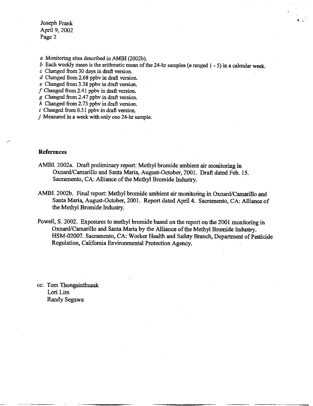*a* Monitoring sites described in AMBI (2002b).

*b* Each weekly mean is the arithmetic mean of the 24-hr samples (*n* ranged 1 - 5) in a calendar week.

••

*c* Changed from 30 days in draft version.

*d* Changed from 2.68 ppbv in draft version.

e Changed from 3.38 ppbv in draft version.

*f* Changed from 2.41 ppbv in draft version.

*g* Changed from 2.47 ppbv in draft version.

h Changed from 2. 73 ppbv in draft version.

*i* Changed from 0.51 ppbv in draft version.

*j* Measured in a week with only one 24-hr sample.

#### **References**

/

- AMBI. 2002a. Draft preliminary report: Methyl bromide ambient air monitoring in Oxnard/Camarillo and Santa Maria, August-October, 2001. Draft dated Feb. 15. Sacramento, CA: Alliance of the Methyl Bromide Industry.
- AMBI. 2002b. Final report: Methyl bromide ambient air monitoring in Oxnard/Camarillo and Santa Maria, August-October, 2001. Report dated April **4.** Sacramento, CA: Alliance of the Methyl Bromide Industry.
- Powell, S. 2002. Exposures to methyl bromide based on the report on the 2001 monitoring in Oxnard/Camarillo and Santa Maria by the Alliance of the Methyl Bromide Industry. HSM-02007. Sacramento, CA: Worker Health and Safety Branch, Department of Pesticide Regulation, California Environmental Protection Agency.

cc: Tom Thongsinthusak Lori Lim Randy Segawa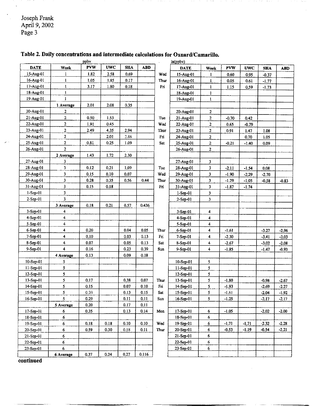|                 |                         | ppby       |            |            |            |        | ln(ppbv)    |                         |            |            |            |            |
|-----------------|-------------------------|------------|------------|------------|------------|--------|-------------|-------------------------|------------|------------|------------|------------|
| <b>DATE</b>     | Week                    | <b>PVW</b> | <b>UWC</b> | <b>SHA</b> | <b>ABD</b> |        | <b>DATE</b> | Week                    | <b>PVW</b> | <b>UWC</b> | <b>SHA</b> | <b>ABD</b> |
| 15-Aug-01       | 1                       | 1.82       | 2.58       | 0.69       |            | Wed    | 15-Aug-01   | 1                       | 0.60       | 0.95       | $-0.37$    |            |
| 16-Aug-01       | 1                       | 1.05       | 1.85       | 0.17       |            | Thur   | 16-Aug-01   | ı                       | 0.05       | 0.61       | $-1.77$    |            |
| 17-Aug-01       | $\mathbf{I}$            | 3.17       | 1.80       | 0.18       |            | Fri    | 17-Aug-01   | $\mathbf{I}$            | 1.15       | 0.59       | $-1.73$    |            |
| 18-Aug-01       | $\mathbf{I}$            |            |            |            |            |        | 18-Aug-01   | I                       |            |            |            |            |
| 19-Aug-01       | 1                       |            |            |            |            |        | 19-Aug-01   | $\mathbf{I}$            |            |            |            |            |
|                 | 1 Average               | 2,01       | 2.08       | 0.35       |            |        |             |                         |            |            |            |            |
| 20-Aug-01       | 2                       |            |            |            |            |        | 20-Aug-01   | $\mathbf{2}$            |            |            |            |            |
| 21-Aug-01       | $\overline{2}$          | 0.50       | 1.53       |            |            | Tue    | 21-Aug-01   | 2                       | $-0.70$    | 0.42       |            |            |
| 22-Aug-01       | $\overline{2}$          | 1.91       | 0.45       |            |            | Wed    | 22-Aug-01   | 2                       | 0.65       | $-0.79$    |            |            |
| 23-Aug-01       | 2                       | 2.49       | 4.35       | 2.94       |            | Thur   | 23-Aug-01   | $\overline{\mathbf{c}}$ | 0.91       | 1.47       | 1.08       |            |
| 24-Aug-01       | $\overline{\mathbf{2}}$ |            | 2.01       | 2.86       |            | Fri    | 24-Aug-01   | $\overline{a}$          |            | 0.70       | 1.05       |            |
| 25-Aug-01       | $\mathbf{z}$            | 0.81       | 0.25       | 1.09       |            | Sat    | 25-Aug-01   | $\mathbf{2}$            | $-0.21$    | $-1.40$    | 0.09       |            |
| 26-Aug-01       | $\overline{a}$          |            |            |            |            |        | 26-Aug-01   | 2                       |            |            |            |            |
|                 | 2 Average               | 1.43       | 1.72       | 2,30       |            |        |             |                         |            |            |            |            |
| 27-Aug-01       | 3                       |            |            |            |            |        | 27-Aug-01   | 3                       |            |            |            |            |
| 28-Aug-01       | 3                       | 0.12       | 0.21       | 1.09       |            | Tue    | 28-Aug-01   | 3                       | $-2.11$    | $-1.54$    | 0.08       |            |
| 29-Aug-01       | 3                       | 0,15       | 0.10       | 0.07       |            | Wed    | 29-Aug-01   | 3                       | $-1.90$    | $-2.29$    | 2.70       |            |
| 30-Aug-01       | 3                       | 0.28       | 0.35       | 0.56       | 0.44       | Thur   | 30-Aug-01   | 3                       | $-1.29$    | $-1.05$    | $-0.58$    | $-0.83$    |
| 31-Aug-01       | 3                       | 0.15       | 0.18       |            |            | Fri    | 31-Aug-01   | 3                       | $-1.87$    | $-1.74$    |            |            |
| $1-$ Sep $-01$  | $\overline{\mathbf{3}}$ |            |            |            |            |        | 1-Sep-01    | 3                       |            |            |            |            |
| $2-Sep-01$      | 3                       |            |            |            |            |        | 2-Sep-01    | 3                       |            |            |            |            |
|                 | 3 Average               | 0.18       | 0.21       | 0.57       | 0.436      |        |             |                         |            |            |            |            |
| $3-Sep-01$      | 4                       |            |            |            |            |        | $3-Sep-01$  | 4                       |            |            |            |            |
| $4-Sep-01$      | 4                       |            |            |            |            |        | $4-Sep-01$  | 4                       |            |            |            |            |
| 5-Sep-01        | 4                       |            |            |            |            |        | 5-Sep-01    | 4                       |            |            |            |            |
| 6-Sep-01        | 4                       | 0.20       |            | 0.04       | 0.05       | Thur   | $6-Sep-01$  | 4                       | $-1.61$    |            | $-3.27$    | $-2,96$    |
| 7-Sep-01        | 4                       | 0.10       |            | 0.03       | 0.13       | Fri    | 7-Sep-01    | 4                       | $-2.30$    |            | $-3.41$    | $-2.03$    |
| 8-Sep-01        | 4                       | 0.07       |            | 0.05       | 0.13       | Sat    | 8-Sep-01    | 4                       | $-2.67$    |            | $-3.02$    | $-2.08$    |
| 9-Sep-01        | $\overline{\mathbf{4}}$ | 0.16       |            | 0.23       | 0.39       | $S$ un | 9-Sep-01    | 4                       | $-1.85$    |            | $-1.47$    | $-0.93$    |
|                 | 4 Average               | 0.13       |            | 0.09       | 0.18       |        |             |                         |            |            |            |            |
| 10-Sep-01       | 5                       |            |            |            |            |        | 10-Sep-01   | 5                       |            |            |            |            |
| 11-Sep-01       | 5                       |            |            |            |            |        | 11-Sep-01   | 5                       |            |            |            |            |
| $12-Sep-01$     | 5                       |            |            |            |            |        | 12-Sep-01   | 5                       |            |            |            |            |
| 13-Sep-01       | 5                       | 0.17       |            | 0.38       | 0.07       | Thur.  | 13-Sep-01   | 5                       | $-1.80$    |            | $-0.98$    | $-2.67$    |
| 14-Sep-01       | 5                       | 0.15       |            | 0.07       | 0.10       | Fri    | 14-Sep-01   | 5                       | $-1.93$    |            | $-2.69$    | $-2.27$    |
| 15-Sep-01       | 5.                      | 0.20       |            | 0.13       | 0.15       | Sat    | 15-Sep-01   | 5                       | $-1.61$    |            | $-2.04$    | $-1.92$    |
| $16-$ Sep $-01$ | 5                       | 0.29       |            | 0.11       | 0.11       | Sun    | 16-Sep-01   | 5                       | $-1.25$    |            | $-2.17$    | $-2.17$    |
|                 | 5 Average               | 0.20       |            | 0.17       | 0.11       |        |             |                         |            |            |            |            |
| 17-Sep 01       | 6                       | 0.35       |            | 0.13       | 0.14       | Mon    | 17-Sep-01   | 6                       | $-1.05$    |            | $-2.02$    | $-2.00$    |
| 18-Sep-01       | 6                       |            |            |            |            |        | 18-Sep-01   | 6                       |            |            |            |            |
| $19-Sep-01$     | 6                       | 0.18       | 0.18       | 0.10       | 0.10       | Wed    | 19-Sep-01   | 6                       | $-1.71$    | $-1.71$    | $-2.32$    | $-2,28$    |
| 20-Sep-01       | 6                       | 0.59       | 0.30       | 0.58       | 0.11       | Thur   | 20-Sep-01   | 6                       | $-0.53$    | $-1.19$    | $-0.54$    | $-2.21$    |
| $21-Sep-01$     | 6                       |            |            |            |            |        | 21-Sep-01   | 6                       |            |            |            |            |
| 22-Sep-01       | 6                       |            |            |            |            |        | 22-Sep-01   | 6                       |            |            |            |            |
| $23-Sep-01$     | 6                       |            |            |            |            |        | $23-Sep-01$ | 6                       |            |            |            |            |
|                 | 6 Average               | 0.37       | 0.24       | 0.27       | 0.116      |        |             |                         |            |            |            |            |

# Table 2. Daily concentrations and intermediate calculations for Oxnard/Camarillo.<br> $\frac{10(100)(1000)}{10(100)(1000)}$

**continued**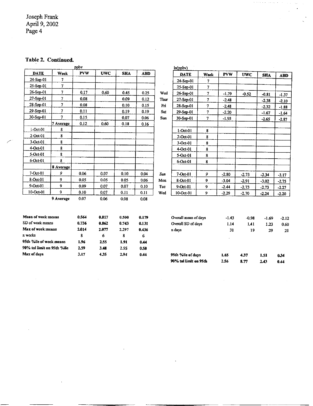## **Table 2. Continued.**

|                            |                          | ppby       |            |            |            |                 | ln(ppbv)              |                |            |            |            |            |
|----------------------------|--------------------------|------------|------------|------------|------------|-----------------|-----------------------|----------------|------------|------------|------------|------------|
| <b>DATE</b>                | Week                     | <b>PVW</b> | <b>UWC</b> | <b>SHA</b> | <b>ABD</b> |                 | <b>DATE</b>           | Week           | <b>PVW</b> | <b>UWC</b> | <b>SHA</b> | <b>ABD</b> |
| $24-Sep-01$                | 7                        |            |            |            |            |                 | 24-Sep-01             | 7              |            |            |            |            |
| 25-Sep-01                  | 7                        |            |            |            |            |                 | $25-Step-01$          | 7              |            |            |            |            |
| 26-Sep-01                  | 7                        | 0.17       | 0.60       | 0.45       | 0.25       | Wed             | $26-Sep-01$           | 7              | $-1.79$    | $-0.52$    | $-0.81$    | $-1.37$    |
| $27-Sep-01$                | 7                        | 0.08       |            | 0.09       | 0.12       | Thur            | $27-Sep-01$           | $\overline{7}$ | $-2.48$    |            | $-2.38$    | $-2.10$    |
| $28-5ep-01$                | $\tau$                   | 0.08       |            | 0.10       | 0.15       | F <sub>II</sub> | 28-Sep-01             | $\tau$         | $-2.48$    |            | $-2.32$    | $-1.88$    |
| 29-Sep-01                  | 7                        | 0.11       |            | 0.19       | 0.19       | Sat             | 29-Sep-01             | $\overline{7}$ | $-2.20$    |            | $-1.67$    | $-1.64$    |
| 30-Sep-01                  | $\overline{\phantom{a}}$ | 0.15       |            | 0.07       | 0.06       | <b>Sun</b>      | $30-Sep-01$           | 7              | $-1.93$    |            | $-2.65$    | $-2.87$    |
|                            | 7 Average                | 0.12       | 0.60       | 0.18       | 0.16       |                 |                       |                |            |            |            |            |
| $1-Oct-01$                 | 8                        |            |            |            |            |                 | $1-Oct-01$            | 8              |            |            |            |            |
| $2-Oct-01$                 | 8                        |            |            |            |            |                 | 2-Oct-01              | 8              |            |            |            |            |
| $3-Oct-01$                 | 8                        |            |            |            |            |                 | 3-Oct-01              | 8              |            |            |            |            |
| $4-Oct-01$                 | 8                        |            |            |            |            |                 | $4-Oct-01$            | 8              |            |            |            |            |
| $5-Oct-01$                 | 8                        |            |            |            |            |                 | 5-Oct-01              | 8              |            |            |            |            |
| 6-Oct-01                   | 8                        |            |            |            |            |                 | 6-Oct-01              | 8              |            |            |            |            |
|                            | 8 Average                |            |            |            |            |                 |                       |                |            |            |            |            |
| $7-Oct-01$                 | 9                        | 0.06       | 0.07       | 0.10       | 0.04       | Sun             | $7-Oct-01$            | 9              | $-2.80$    | $-2.73$    | $-2.34$    | $-3.17$    |
| 8-Oct-01                   | 9                        | 0.05       | 0.05       | 0.05       | 0.06       | Mon             | 8-Oct-01              | 9              | $-3.04$    | $-2.91$    | $-3.02$    | $-2.75$    |
| 9-Oct-01                   | 9                        | 0.09       | 0.07       | 0.07       | 0.10       | Tue             | $9-Oct-01$            | 9              | $-2.44$    | $-2.73$    | $-2.73$    | $-2.27$    |
| 10-Oct-01                  | 9                        | 0.10       | 0.07       | 0.11       | 0.11       | Wed             | 10-Oct-01             | 9              | $-2.29$    | $-2.70$    | $-2.24$    | $-2.20$    |
|                            | 9 Average                | 0.07       | 0.06       | 0.08       | 0.08       |                 |                       |                |            |            |            |            |
| Mean of week means         |                          | 0.564      | 0.817      | 0.500      | 0.179      |                 | Overall mean of days  |                | $-1.43$    | $-0.98$    | $-1.69$    | $-2.12$    |
| SD of week means           |                          | 0.736      | 0.862      | 0.743      | 0.131      |                 | Overall SD of days    |                | 1.14       | 1.41       | 1.23       | 0.60       |
| Max of week means          |                          | 2.014      | 2.077      | 2,297      | 0.436      |                 | n days                |                | 31         | 19         | 29         | 21         |
| n weeks                    |                          | 8          | 6          | 8          | 6          |                 |                       |                |            |            |            |            |
| 95th %ile of week means    |                          | 1.96       | 2.55       | 1.91       | 0.44       |                 |                       |                |            |            |            |            |
| 90% tol limit on 95th %ile |                          | 2.59       | 3.48       | 2.55       | 0.58       |                 |                       |                |            |            |            |            |
| Max of days                |                          | 3.17       | 4.35       | 2.94       | 0.44       |                 | 95th %lle of days     |                | 1.65       | 4.37       | 1.51       | 0.34       |
|                            |                          |            |            |            |            |                 | 90% tol limit on 95th |                | 2.56       | 8.77       | 2.43       | 0.44       |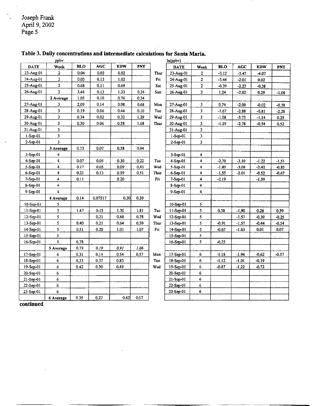$\overline{\phantom{a}}$ 

|                | ppby                    |            |            |            |            |            | ln(ppbv)    |                         |            |         |         |            |
|----------------|-------------------------|------------|------------|------------|------------|------------|-------------|-------------------------|------------|---------|---------|------------|
| DATE           | Week                    | <b>BLO</b> | <b>AGC</b> | <b>EDW</b> | <b>PNT</b> |            | <b>DATE</b> | Week                    | <b>BLO</b> | AGC     | EDW     | <b>PNT</b> |
| $23-Aug-01$    | 2                       | 0.04       | 0.03       | 0.02       |            | Thur       | 23-Aug-01   | $\overline{\mathbf{c}}$ | $-3.12$    | $-3.47$ | $-4.07$ |            |
| 24-Aug-01      | $\overline{c}$          | 0.03       | 0.13       | 1.02       |            | Fri        | 24-Aug-01   | $\overline{\mathbf{2}}$ | $-3.44$    | $-2.01$ | 0.02    |            |
| 25-Aug-01      | $\overline{2}$          | 0.68       | 0.11       | 0.69       |            | <b>Sat</b> | 25-Aug-01   | $\mathbf{2}$            | $-0.39$    | $-2.23$ | $-0.38$ |            |
| 26-Aug-01      | $\overline{\mathbf{c}}$ | 3.46       | 0.13       | 1.33       | 0.34       | Sun        | 26-Aug-01   | $\mathbf 2$             | 1.24       | $-2.02$ | 0.29    | $-1.08$    |
|                | 2 Average               | 1.05       | 0.10       | 0.76       | 034        |            |             |                         |            |         |         |            |
| 27-Aug-01      | $\mathbf{3}$            | 2.09       | 0.14       | 0.98       | 0.68       | Mon        | 27-Aug-01   | 3                       | 0.74       | $-2.00$ | $-0.02$ | $-0.38$    |
| 28-Aug-01      | 3                       | 0.19       | 0.06       | 0.44       | 0.10       | Tue        | 28-Aug-01   | 3                       | $-1.67$    | $-2.88$ | $-0.81$ | $-2.28$    |
| 29-Aug-01      | 3                       | 0.34       | 0.02       | 0.32       | 1.29       | Wed        | 29-Aug-01   | 3                       | $-1.08$    | $-3.73$ | $-1.14$ | 0.25       |
| 30-Aug-01      | 3                       | 0.30       | 0.06       | $0.58\,$   | 1.68       | Thur       | 30-Aug-01   | 3                       | $-1.19$    | $-2.78$ | $-0.54$ | 0.52       |
| 31-Aug-01      | 3                       |            |            |            |            |            | 31-Aug-01   | 3                       |            |         |         |            |
| $l-Sep-01$     | 3                       |            |            |            |            |            | $1-Sep-01$  | 3                       |            |         |         |            |
| 2-Sep-01       | 3                       |            |            |            |            |            | $2-Scp-01$  | 3                       |            |         |         |            |
|                | 3 Average               | 0.73       | 0.07       | 0.58       | 0.94       |            |             |                         |            |         |         |            |
| $3-Sep-01$     | 4                       |            |            |            |            |            | 3-Sep-01    | 4                       |            |         |         |            |
| $4$ -Sep-01    | 4                       | 0.07       | 0.05       | 0.30       | 0.22       | Tue        | 4-Sep-01    | $\overline{\mathbf{4}}$ | $-2.70$    | $-3.10$ | $-1.22$ | $-1.51$    |
| 5-Sep-01       | 4                       | 0.17       | 0.05       | 0.09       | 0.43       | Wed        | 5-Sep-01    | 4                       | $-1.80$    | $-3.08$ | $-2.42$ | $-0.85$    |
| $6-Sep-01$     | 4                       | 0.21       | 0.13       | 0.59       | 0.51       | Thur       | 6-Sep-01    | 4                       | $-1.55$    | $-2.01$ | $-0.52$ | $-0.67$    |
| 7-Sep-01       | 4                       | 0.11       |            | 0.20       |            | Fri        | 7-Sep-01    | 4                       | $-2.19$    |         | $-1.59$ |            |
| 8-Sep-01       | 4                       |            |            |            |            |            | 8-Sep-01    | 4                       |            |         |         |            |
| $9-$ Sep $-01$ | 4                       |            |            |            |            |            | $9-Sep-01$  | 4                       |            |         |         |            |
|                | 4 Average               | 0.14       | 0.07517    | 0.30       | 0.39       |            |             |                         |            |         |         |            |
| $10-Sep-01$    | 5                       |            |            |            |            |            | 10-Sep-01   | 5                       |            |         |         |            |
| $11-Sep-01$    | 5                       | 1.47       | 0.15       | 1.30       | 1.81       | Tue        | $11-Sep-01$ | 5                       | 0.38       | $-1.90$ | 0.26    | 0.59       |
| 12-Sep-01      | 5                       |            | 0.21       | 0.68       | 0.78       | Wed        | 12-Sep-01   | $\overline{5}$          |            | $-1.57$ | $-0.39$ | $-0.25$    |
| 13-Sep-01      | 5                       | 0,40       | 0.21       | 0,64       | 0.59       | Thur       | 13-Sep-01   | 5                       | $-0.91$    | $-1.57$ | $-0.44$ | $-0.54$    |
| 14-Sep-01      | 5                       | 0.51       | 0.20       | 1.01       | 1.07       | $F_{II}$   | 14-Sep-01   | 5                       | $-0.67$    | $-1.63$ | 0.01    | 0.07       |
| 15-Sep-01      | 5                       |            |            |            |            |            | 15-Sep-01   | $\mathfrak{s}$          |            |         |         |            |
| 16-Sep-01      | $\mathsf{s}$            | 0.78       |            |            |            |            | 16-Sep-01   | 5                       | $-0.25$    |         |         |            |
|                | 5 Average               | 0.79       | 0.19       | 0.91       | 1.06       |            |             |                         |            |         |         |            |
| 17-Sep-01      | 6                       | 0.31       | 0.14       | 0.54       | 0.57       | Mon        | 17-Sep-01   | 6                       | $-1.18$    | $-1.94$ | $-0.62$ | 0.57       |
| 18-Sep-01      | 6                       | 0.33       | 0.37       | 0.83       |            | Tue        | 18-Sep-01   | 6                       | $-1.12$    | $-1.01$ | $-0.19$ |            |
| 19-Sep-01      | 6                       | 0.42       | 0.30       | 0.49       |            | Wed        | 19-Sep-01   | 6                       | $-0.87$    | $-1.22$ | $-0.72$ |            |
| 20-Sep-01      | 6                       |            |            |            |            |            | 20-Sep-01   | 6                       |            |         |         |            |
| 21-Sep-01      | 6                       |            |            |            |            |            | $21-Scp-01$ | 6                       |            |         |         |            |
| 22-Sep-01      | 6                       |            |            |            |            |            | 22-Sep-01   | 6                       |            |         |         |            |
| 23-Sep-01      | 6                       |            |            |            |            |            | 23-Sep-01   | 6                       |            |         |         |            |
|                | 6 Average               | 0.35       | 0.27       | 0.62       | 0.57       |            |             |                         |            |         |         |            |

## **Table** 3. **Daily concentrations and intermediate calculations for Santa Maria.**

**continued**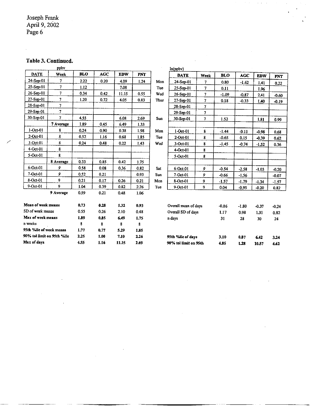## **Table 3. Continued.**

| ppby<br><b>DATE</b><br>Week |                            |            |            |            |            |            | ln(npby)              |                |            |         |            |            |
|-----------------------------|----------------------------|------------|------------|------------|------------|------------|-----------------------|----------------|------------|---------|------------|------------|
|                             |                            | <b>BLO</b> | <b>AGC</b> | <b>EDW</b> | <b>PNT</b> |            | <b>DATE</b>           | Week           | <b>BLO</b> | AGC     | <b>EDW</b> | <b>PNT</b> |
| 24-Sep-01                   | 7                          | 2.22       | 0.20       | 4.09       | 1.24       | Mon        | 24-Sep-01             | $\overline{7}$ | 0.80       | $-1.62$ | 1.41       | 0.22       |
| 25-Sep-01                   | $\overline{7}$             | 1.12       |            | 7.08       |            | Tue        | $25-Sep-01$           | 7              | 0,11       |         | 1.96       |            |
| $26 - Sep -01$              | 7                          | 0.34       | 0.42       | 11.15      | 0.55       | Wed        | $26-Sep-01$           | 7              | $-1.09$    | $-0.87$ | 2.41       | $-0.60$    |
| $27-Scp-01$                 | 7                          | 1.20       | 0.72       | 4.05       | 0.83       | Thur       | $27-$ Sep $-01$       | 7              | 0.18       | $-0.33$ | 1.40       | $-0.19$    |
| 28-Sep-01                   | 7                          |            |            |            |            |            | $28-$ Sep-01          | 7              |            |         |            |            |
| $29-Sep-01$                 | $\cdot$ 7                  |            |            |            |            |            | $29-$ Sep $-01$       |                |            |         |            |            |
| $30-Sep-01$                 | 7                          | 4.55       |            | 6.08       | 2.69       | Sun        | $30-Sep-01$           | $\overline{7}$ | 1.52       |         | 1.81       | 0.99       |
|                             | 7 Average                  | 1.89       | 0.45       | 6.49       | 1.33       |            |                       |                |            |         |            |            |
| $1-Oct-01$                  | 8                          | 0.24       | 0.90       | 0.38       | 1,98       | Mon        | $1-Oct-01$            | 8              | $-1.44$    | $-0.11$ | $-0.98$    | 0.68       |
| $2-Oct-01$                  | 8                          | 0.52       | 1.16       | 0.63       | 1.85       | Tue        | $2-Oct-01$            | 8              | $-0.65$    | 0.15    | $-0.39$    | 0.62       |
| $3-Oct-01$                  | 8                          | 0.24       | 0.48       | 0.22       | 1.43       | Wed        | $3-Oct-01$            | 8              | $-1.45$    | $-0.74$ | $-1.52$    | 0.36       |
| $4-Oct-01$                  | 8                          |            |            |            |            |            | $4-Oct-01$            | 8              |            |         |            |            |
| $5-Oct-01$                  | 8                          |            |            |            |            |            | 5-Oct-01              | 8              |            |         |            |            |
|                             | 8 Average                  | 0.33       | 0.85       | 0.42       | 1.75       |            |                       |                |            |         |            |            |
| $6$ -Oct-01                 | 9                          | 0.58       | 0.08       | 0.36       | 0.82       | Sat        | 6-Oct-01              | 9              | $-0.54$    | $-2,58$ | $-1.03$    | $-0.20$    |
| 7-Oct-01                    | 9                          | 0.52       | 0.21       |            | 0.93       | <b>Sun</b> | 7-Oct-01              | 9              | -0.66      | $-1.56$ |            | $-0.07$    |
| 8-Oct-01                    | 9                          | 0.21       | 0.17       | 0.26       | 0.21       | Mon        | 8-Oct-01              | 9              | $-1.57$    | $-1.79$ | $-1.34$    | $-1.57$    |
| 9-Oct-01                    | 9                          | 1.04       | 0.39       | 0.82       | 2.26       | Tue        | 9-Oct-01              | 9.             | 0.04       | $-0.95$ | $-0.20$    | 0.82       |
|                             | 9 Average                  | 0.59       | 0.21       | 0.48       | 1.06       |            |                       |                |            |         |            |            |
| Mean of week means          |                            | 0.73       | 0.28       | 1.32       | 0.93       |            | Overall mean of days  |                | $-0.86$    | $-1.80$ | $-0.37$    | $-0.24$    |
| SD of week means            |                            | 0.55       | 0.26       | 2.10       | 0.48       |            | Overall SD of days    |                | 1.17       | 0.98    | 1.31       | 0.82       |
| Max of week means           |                            | 1.89       | 0.85       | 6.49       | 1.75       |            | n days                |                | 31         | 28      | 30         | 24         |
| n weeks                     |                            | 8          | 8          | 8          | 8          |            |                       |                |            |         |            |            |
| 95th %ile of week means     |                            | 1.77       | 0.77       | 5.29       | 1.85       |            |                       |                |            |         |            |            |
|                             | 90% tol limit on 95th %ile | 2.25       | 1.00       | 7.10       | 2.26       |            | 95th %lle of days     |                | 3.10       | 0.87    | 6.42       | 3,24       |
| Max of days                 |                            | 4.55       | 1.16       | 11.15      | 2.69       |            | 90% tol limit on 95th |                | 4.85       | 1.28    | 10.57      | 4.62       |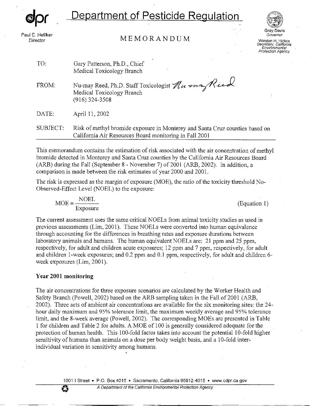*@Jpr* 

## **Department of Pesticide Regulation**

Paul E. Helliker Director

## **MEMORANDUM**



**Gray Davis Governor Winston H. Hickox Secretary, California Environmental Protection Agency** 

| TO:      | Gary Patterson, Ph.D., Chief<br>Medical Toxicology Branch                                                                              |
|----------|----------------------------------------------------------------------------------------------------------------------------------------|
| FROM:    | Nu-may Reed, Ph.D. Staff Toxicologist Numa Ried<br>Medical Toxicology Branch<br>$(916)$ 324-3508                                       |
| DATE:    | April 11, 2002                                                                                                                         |
| SUBJECT: | Risk of methyl bromide exposure in Monterey and Santa Cruz counties based on<br>California Air Resources Board monitoring in Fall 2001 |

This memorandum contains the estimation of risk associated with the air concentration of methyl bromide detected in Monterey and Santa Cruz counties by the California Air Resources Board (ARB) during the Fall (September 8 - November 7) of 2001 (ARB, 2002). In addition, a comparison is made between the risk estimates of year 2000 and 2001.

The risk is expressed as the margin of exposure (MOE), the ratio of the toxicity threshold No-Observed-Effect Level (NOEL) to the exposure:

 $\text{MOE} = \frac{\text{NOEL}}{\text{Exposure}}$  (Equation 1)

The current assessment uses the same critical NOELs from animal toxicity studies as used in previous assessments (Lim, 2001). These NOELs were converted into human equivalence through accounting for the differences in breathing rates and exposure durations between laboratory animals and humans. The human equivalent NOELs are: 21 ppm and 25 ppm, respectively, for adult aud children acute exposures; 12 ppm and 7 ppm, respectively, for adult and children 1-week exposures; and 0.2 ppm and 0.1 ppm, respectively, for adult and children 6week exposures (Lim, 2001).

## **Year 2001 monitoring**

The air concentrations for three exposure scenarios are calculated by the Worker Health aud Safety Branch (Powell, 2002) based on the ARB sampling taken in the Fall of 2001 (ARB, 2002). Three sets of ambient air concentrations are available for the six monitoring sites: the 24 hour daily maximum and 95% tolerance limit, the maximum weekly average and 95% tolerance limit, and the 8-week average (Powell, 2002). The corresponding MOEs are presented in Table 1 for children aud Table 2 for adults. A MOE of 100 is generally considered adequate for the protection of human health. This 100-fold factor takes into account the potential 10-fold higher sensitivity of humans than animals on a dose per body weight basis, and a 10-fold interindividual variation in sensitivity among humans.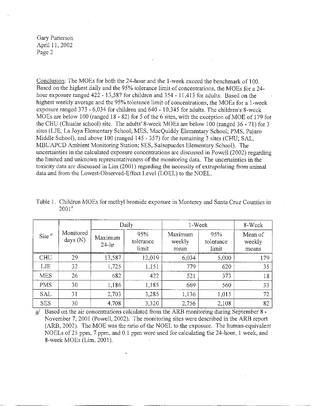Conclusion: The MOEs for both the 24-hour and the I-week exceed the benchmark of 100. Based on the highest daily and the 95% tolerance limit of concentrations, the MOEs for a 24hour exposure ranged 422 - 13,587 for children and 354 - 11,413 for adults. Based on the highest weekly average and the 95% tolerance limit of concentrations, the MOEs for a 1-week exposure ranged 373 - 6,034 for children and 640 - 10,345 for adults. The children's 8-week MOEs are below 100 (ranged 18 - 82) for 5 of the 6 sites, with the exception of MOE of 179 for the CHU (Chualar school) site. The adults' 8-week MOEs are below 100 (ranged 36 - 71) for 3 sites (LJE, La Joya Elementary School; MES, MacQuiddy Elementary School; PMS, Pajaro Middle School), and above 100 (ranged 145 - 357) for the remaining 3 sites (CHU; SAL, MBUAPCD Ambient Monitoring Station; SES, Salsepuedes Elementary School). The uncertainties in the calculated exposure concentrations are discussed in Powell (2002) regarding the limited and unknown representativeness of the monitoring data. The uncertainties in the toxicity data are discussed in Lim (2001) regarding the necessity of extrapolating from animal data and from the Lowest-Observed-Effect Level (LOEL) to the NOEL.

|            |                         |                      | Daily                     | 1-Week                    |                           | 8-Week                     |
|------------|-------------------------|----------------------|---------------------------|---------------------------|---------------------------|----------------------------|
| Site $a$   | Monitored<br>days $(N)$ | Maximum<br>$24 - hr$ | 95%<br>tolerance<br>limit | Maximum<br>weekly<br>mean | 95%<br>tolerance<br>limit | Mean of<br>weekly<br>means |
| <b>CHU</b> | 29                      | 13,587               | 12,019                    | 6,034                     | 5,000                     | 179                        |
| LJE        | 32                      | 1,725                | 1,151                     | 779                       | 620                       | 35                         |
| <b>MES</b> | 26                      | 682                  | 422                       | 521                       | 373                       | 18                         |
| <b>PMS</b> | 30                      | 1,186                | 1.185                     | 669                       | 560                       | 33                         |
| <b>SAL</b> | 31                      | 2,703                | 3,285                     | 1,136                     | 1,013                     | 72                         |
| <b>SES</b> | 30                      | 4,708                | 3,320                     | 2,756                     | 2,108                     | 82                         |

Table 1. Children MOEs for methyl bromide exposure in Monterey and Santa Cruz Counties in  $2001^a$ 

Based on the air concentrations calculated from the ARB monitoring during September 8 -November 7, 2001 (Powell, 2002). The monitoring sites were described in the ARB report (ARB, 2002). The MOE was the ratio of the NOEL to the exposure. The human-equivalent NOELs of 25 ppm, 7 ppm, and 0.1 ppm were used for calculating the 24-hour, 1 week, and 8-week MOEs (Lim, 2001).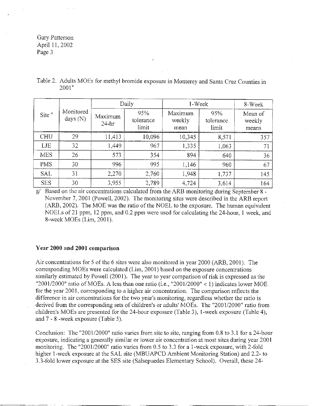|            |                         | Daily                |                           | 1-Week                    | 8-Week                    |                            |
|------------|-------------------------|----------------------|---------------------------|---------------------------|---------------------------|----------------------------|
| Site $a$   | Monitored<br>days $(N)$ | Maximum<br>$24 - hr$ | 95%<br>tolerance<br>limit | Maximum<br>weekly<br>mean | 95%<br>tolerance<br>limit | Mean of<br>weekly<br>means |
| <b>CHU</b> | 29                      | 11,413               | 10,096                    | 10,345                    | 8,571                     | 357                        |
| LJE        | 32                      | 1,449                | 967                       | 1,335                     | 1,063                     | 71                         |
| <b>MES</b> | 26                      | 573                  | 354                       | 894                       | 640                       | 36                         |
| <b>PMS</b> | 30                      | 996                  | 995                       | 1,146                     | 960                       | 67                         |
| <b>SAL</b> | 31                      | 2,270                | 2,760                     | 1,948                     | 1,737                     | 145                        |
| <b>SES</b> | 30                      | 3,955                | 2,789                     | 4,724                     | 3,614                     | 164                        |

| Table 2. Adults MOEs for methyl bromide exposure in Monterey and Santa Cruz Counties in |  |  |
|-----------------------------------------------------------------------------------------|--|--|
| $2001^a$                                                                                |  |  |

*g/* Based on the air concentrations calculated from the ARB monitoring during September 8 - November 7, 2001 (Powell, 2002). The monitoring sites were described in the ARB report (ARB, 2002). The MOE was the ratio of the NOEL to the exposure. The human equivalent NOELs of 21 ppm, 12 ppm, and 0.2 ppm were used for calculating the 24-hour, 1 week, and 8-week MOEs (Lim, 2001).

#### **Year 2000 and 2001 comparison**

Air concentrations for 5 of the 6 sites were also monitored in year 2000 (ARB, 2001). The corresponding MOEs were calculated (Lim, 2001) based on the exposure concentrations similarly estimated by Powell (2001). The year to year comparison of risk is expressed as the "2001/2000" ratio of MOEs. A less than one ratio (i.e., "2001/2000" < 1) indicates lower MOE for the year 2001, corresponding to a higher air concentration. The comparison reflects the difference in air concentrations for the two year's monitoring, regardless whether the ratio is derived from the corresponding sets of children's or adults' MOEs. The "2001/2000" ratio from children's MOEs are presented for the 24-hour exposure (Table 3), 1-week exposure (Table 4), and 7 - 8 -week exposure (Table 5).

Conclusion: The "2001/2000" ratio varies from site to site, ranging from 0.8 to 3.1 for a 24-hour exposure, indicating a generally similar or lower air concentration at most sites during year 2001 monitoring. The "2001/2000" ratio varies from 0.5 to 3.3 for a 1-week exposure, with 2-fold higher 1-week exposure at the SAL site (MBUAPCD Ambient Monitoring Station) and 2.2- to 3.3-fold lower exposure at the SES site (Salsepuedes Elementary School). Overall, these 24-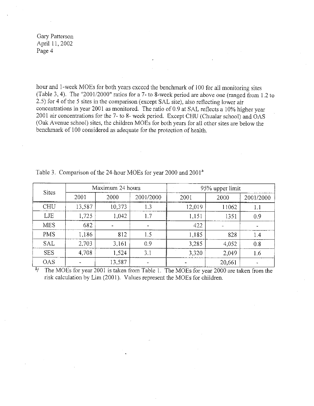hour and 1-week MOEs for both years exceed the benchmark of 100 for all monitoring sites (Table 3, 4). The "2001/2000" ratios for a 7- to 8-week period are above one (ranged from 1.2 to 2.5) for 4 of the 5 sites in the comparison (except SAL site), also reflecting lower air concentrations in year 2001 as monitored. The ratio of 0.9 at SAL reflects a 10% higher year 2001 air concentrations for the 7- to 8- week period. Except CHU (Chualar school) and OAS (Oak Avenue school) sites, the children MOEs for both years for all other sites are below the benchmark of l 00 considered as adequate for the protection of health.

| <b>Sites</b> | Maximum 24 hours |        |           | 95% upper limit |        |           |
|--------------|------------------|--------|-----------|-----------------|--------|-----------|
|              | 2001             | 2000   | 2001/2000 | 2001            | 2000   | 2001/2000 |
| <b>CHU</b>   | 13,587           | 10,373 | 1.3       | 12,019          | 11062  | 1.1       |
| LJE          | 1,725            | 1,042  | 1.7       | 1,151           | 1351   | 0.9       |
| <b>MES</b>   | 682              |        |           | 422             |        |           |
| <b>PMS</b>   | 1,186            | 812    | 1.5       | 1,185           | 828    | 14        |
| <b>SAL</b>   | 2,703            | 3,161  | 0.9       | 3,285           | 4,052  | 0.8       |
| <b>SES</b>   | 4,708            | 1,524  | 3.1       | 3,320           | 2,049  | 1.6       |
| <b>OAS</b>   |                  | 13,587 |           |                 | 20,661 |           |

Table 3. Comparison of the 24-hour MOEs for year 2000 and 2001<sup>a</sup>

 $\frac{a}{r}$  The MOEs for year 2001 is taken from Table 1. The MOEs for year 2000 are taken from the risk calculation by Lim (2001). Values represent the MOEs for children.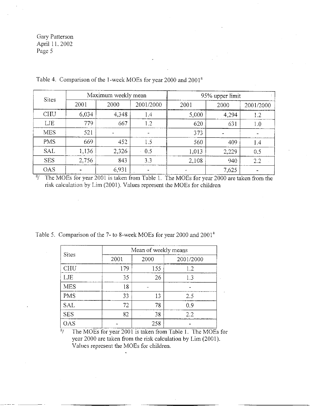$\hat{\boldsymbol{\beta}}$ 

| <b>Sites</b> | Maximum weekly mean |       |           | 95% upper limit |       |           |
|--------------|---------------------|-------|-----------|-----------------|-------|-----------|
|              | 2001                | 2000  | 2001/2000 | 2001            | 2000  | 2001/2000 |
| <b>CHU</b>   | 6,034               | 4,348 | 1.4       | 5,000           | 4,294 | 1.2       |
| LJE          | 779                 | 667   | 1.2       | 620.            | 631   | 1.0       |
| <b>MES</b>   | 521                 |       |           | 373             |       |           |
| <b>PMS</b>   | 669                 | 452   | 1.5       | 560             | 409   | 1.4       |
| <b>SAL</b>   | 1,136               | 2,326 | 0.5       | 1,013           | 2,229 | 0.5       |
| <b>SES</b>   | 2.756               | 843   | 3.3       | 2,108           | 940   | 2.2       |
| <b>OAS</b>   |                     | 6,931 |           |                 | 7,625 |           |

Table 4. Comparison of the !-week MOEs for year 2000 and 2001"

<sup>4</sup>/ The MOEs for year 2001 is taken from Table 1. The MOEs for year 2000 are taken from the risk calculation by Lim (2001). Values represent the MOEs for children

Table 5. Comparison of the 7- to 8-week MOEs for year 2000 and 2001<sup>a</sup>

| <b>Sites</b> |      | Mean of weekly means |           |  |  |  |  |
|--------------|------|----------------------|-----------|--|--|--|--|
|              | 2001 | 2000                 | 2001/2000 |  |  |  |  |
| CHU          | 179  | 155                  | 1.2       |  |  |  |  |
| LJE          | 35   | 26                   | 1.3       |  |  |  |  |
| <b>MES</b>   | 18   |                      |           |  |  |  |  |
| <b>PMS</b>   | 33   | 13                   | 2.5       |  |  |  |  |
| <b>SAL</b>   | 72   | 78                   | 0.9       |  |  |  |  |
| <b>SES</b>   | 82   | 38                   | 2.2       |  |  |  |  |
| OAS          |      | 258                  |           |  |  |  |  |

 $\frac{a}{4}$  The MOEs for year 2001 is taken from Table 1. The MOEs for year 2000 are taken from the risk calculation by Lim (2001). Values represent the MOEs for children.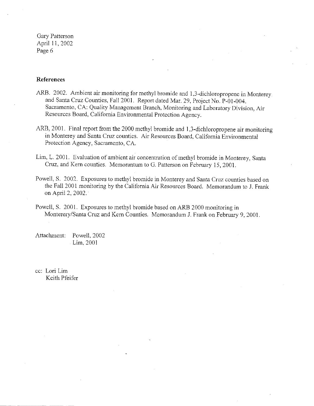## **References**

- ARB. 2002. Ambient air monitoring for methyl bromide and 1,3-dichloropropene in Monterey and Santa Cruz Counties, Fall 2001. Report dated Mar. 29, Project No. P-01-004. Sacramento, CA: Quality Management Branch, Monitoring and Laboratory Division, Air Resources Board, California Environmental Protection Agency.
- ARB, 2001. Final report from the 2000 methyl bromide and 1,3-dichloropropene air monitoring in Monterey and Santa Cruz counties. Air Resources Board, California Enviromnental Protection Agency, Sacramento, CA.
- Lim, L. 2001. Evaluation of ambient air concentration of methyl bromide in Monterey, Santa Cruz, and Kem counties. Memorantum to G. Patterson on February 15, 2001.
- Powell, S. 2002. Exposures to methyl bromide in Monterey and Santa Cruz counties based on the Fall 2001 monitoring by the California Air Resources Board. Memorandum to J. Frank on April 2, 2002. ·
- Powell, S. 2001. Exposures to methyl bromide based on ARB 2000 monitoring in Monterery/Santa Cruz and Kern Counties. Memorandum J. Frank on February 9, 2001.

Attachment: Powell, 2002 Lim, 2001

cc: Lori Lim Keith Pfeifer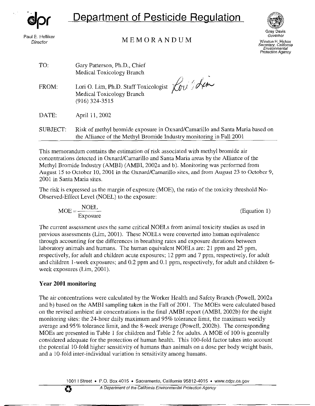**dpr**

# **Department of Pesticide Regulation**

Paul E. Helliker **Director** 

## **MEMORANDUM**



Gray Davis Governor Winston H. Hickox Secretary, California Environmental Protection Agency

| TO:      | Gary Patterson, Ph.D., Chief<br>Medical Toxicology Branch                                                                                           |
|----------|-----------------------------------------------------------------------------------------------------------------------------------------------------|
| FROM:    | Lori O. Lim, Ph.D. Staff Toxicologist Louis<br>$(916)$ 324-3515                                                                                     |
| DATE:    | April 11, 2002                                                                                                                                      |
| SUBJECT: | Risk of methyl bromide exposure in Oxnard/Camarillo and Santa Maria based on<br>the Alliance of the Methyl Bromide Industry monitoring in Fall 2001 |

This memorandum contains the estimation of risk associated with methyl bromide air concentrations detected in Oxnard/Camarillo and Santa Maria areas by the Alliance of the Methyl Bromide Industry (AMBI) (AMBI, 2002a and b). Monitoring was performed from August 15 to October 10, 2001 in the Oxnard/Camarillo sites, and from August 23 to October 9, 2001 in Santa Maria sites.

The risk is expressed as the margin of exposure (MOE), the ratio of the toxicity threshold No-Observed-Effect Level (NOEL) to the exposure:

 $\text{MOE} = \frac{\text{NOEL}}{\text{Exposure}}$  (Equation 1)

The current assessment uses the same critical NOELs from animal toxicity studies as used in previous assessments (Lim, 2001). These NOELs were converted into human equivalence through accounting for the differences in breathing rates and exposure durations between laboratory animals and humans. The human equivalent NOELs are: 21 ppm and 25 ppm, respectively, for adult and children acute exposures; 12 ppm and 7 ppm, respectively, for adult and children 1-week exposures; and 0.2 ppm and 0.1 ppm, respectively, for adult and children 6week exposures (Lim, 2001).

## **Year 2001 monitoring**

The air concentrations were calculated by the Worker Health and Safety Branch (Powell, 2002a and b) based on the AMBI sampling taken in the Fall of 2001. The MOEs were calculated based on the revised ambient air concentrations in the final AMBI report (AMBI, 2002b) for the eight monitoring sites: the 24-hour daily maximum and 95% tolerance limit, the maximum weekly average and 95% tolerance limit, and the 8-week average (Powell, 2002b). The corresponding MOEs are presented in Table I for children and Table 2 for adults. A MOE of 100 is generally considered adequate for the protection of human health. This 100-fold factor takes into account the potential 10-fold higher sensitivity of humans than animals on a dose per body weight basis, and a JO-fold inter-individual variation in sensitivity among humans.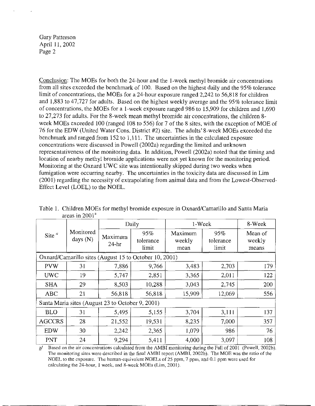Conclusion: The MOEs for both the 24-hour and the !-week methyl bromide air concentrations from all sites exceeded the benchmark of 100. Based on the highest daily and the 95% tolerance limit of concentrations, the MOEs for a 24-hour exposure ranged 2,242 to 56,818 for children and 1,883 to 47,727 for adults. Based on the highest weekly average and the 95% tolerance limit of concentrations, the MOEs for a 1-week exposure ranged 986 to 15,909 for children and 1,690 to 27,273 for adults. For the 8-week mean methyl bromide air concentrations, the children 8 week MOEs exceeded 100 (ranged 108 to 556) for 7 of the 8 sites, with the exception of MOE of 76 for the EDW (United Water Cons. District #2) site. The adults' 8-week MOEs exceeded the benchmark and ranged from 152 to 1,111. The uncertainties in the calculated exposure concentrations were discussed in Powell (2002a) regarding the limited and unknown representativeness of the monitoring data. In addition, Powell (2002a) noted that the timing and location of nearby methyl bromide applications were not yet known for the monitoring period. Monitoring at the Oxnard UWC site was intentionally skipped during two weeks when fumigation were occurring nearby. The uncertainties in the toxicity data are discussed in Lim (2001) regarding the necessity of extrapolating from animal data and from the Lowest-Observed-Effect Level (LOEL) to the NOEL.

|               |                                                  |        | Daily                                                  | 1-Week                    |                           | 8-Week                     |
|---------------|--------------------------------------------------|--------|--------------------------------------------------------|---------------------------|---------------------------|----------------------------|
| Site $a$      | Monitored<br>days $(N)$                          |        | 95%<br>tolerance<br>limit                              | Maximum<br>weekly<br>mean | 95%<br>tolerance<br>limit | Mean of<br>weekly<br>means |
|               |                                                  |        | Oxnard/Camarillo sites (August 15 to October 10, 2001) |                           |                           |                            |
| <b>PVW</b>    | 31                                               | 7,886  | 9,766                                                  | 3,483                     | 2,703                     | I79                        |
| <b>UWC</b>    | 19                                               | 5,747  | 2,851                                                  | 3,365                     | 2,011                     | 122                        |
| <b>SHA</b>    | 29                                               | 8,503  | 10,288                                                 | 3,043                     | 2,745                     | 200                        |
| <b>ABC</b>    | 21                                               | 56,818 | 56,818                                                 | 15,909                    | 12,069                    | 556                        |
|               | Santa Maria sites (August 23 to October 9, 2001) |        |                                                        |                           |                           |                            |
| <b>BLO</b>    | 31                                               | 5,495  | 5,155                                                  | 3.704                     | 3,111                     | 137                        |
| <b>AGCCRS</b> | 28                                               | 21,552 | 19,531                                                 | 8,235                     | 7,000                     | 357                        |
| <b>EDW</b>    | 30                                               | 2,242  | 2.365                                                  | 1,079                     | 986                       | 76                         |
| <b>PNT</b>    | 24                                               | 9,294  | 5,411                                                  | 4,000                     | 3,097                     | 108                        |

| Table 1. Children MOEs for methyl bromide exposure in Oxnard/Camarillo and Santa Maria |  |
|----------------------------------------------------------------------------------------|--|
| areas in $2001a$                                                                       |  |

Based on the air concentrations calculated from the AMBI monitoring during the Fall of 2001 (Powell, 2002b). The monitoring sites were described in the final AME! report (AME!, 2002b). The MOE was the ratio of the NOEL to the exposure. The human-equivalent NOELs of 25 ppm, 7 ppm, and 0.1 ppm were used for calculating the 24-hour, I week, and 8-week MOEs (Lim, 2001).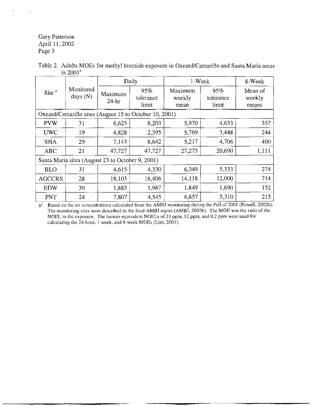|                                     |    |                                                  | Daily                                                  | 1-Week                    |                           | 8-Week                     |
|-------------------------------------|----|--------------------------------------------------|--------------------------------------------------------|---------------------------|---------------------------|----------------------------|
| Monitored<br>Site $a$<br>days $(N)$ |    | Maximum<br>$24-hr$                               | 95%<br>tolerance<br>limit                              | Maximum<br>weekly<br>mean | 95%<br>tolerance<br>limit | Mean of<br>weekly<br>means |
|                                     |    |                                                  | Oxnard/Camarillo sites (August 15 to October 10, 2001) |                           |                           |                            |
| <b>PVW</b>                          | 31 | 6,625                                            | 8,203                                                  | 5,970                     | 4,633                     | 357                        |
| <b>UWC</b>                          | 19 | 4,828                                            | 2.395                                                  | 5,769                     | 3,448                     | 244                        |
| <b>SHA</b>                          | 29 | 7,143                                            | 8,642                                                  | 5,217                     | 4,706                     | 400                        |
| <b>ABC</b>                          | 21 | 47,727                                           | 47,727                                                 | 27,273                    | 20,690                    | 1,111                      |
|                                     |    | Santa Maria sites (August 23 to October 9, 2001) |                                                        |                           |                           |                            |
| <b>BLO</b>                          | 31 | 4,615                                            | 4.330                                                  | 6,349                     | 5,333                     | 274                        |
| <b>AGCCRS</b>                       | 28 | 18,103                                           | 16,406                                                 | 14.118                    | 12,000                    | 714                        |
| <b>EDW</b>                          | 30 | 1,883                                            | 1,987                                                  | 1,849                     | 1,690                     | 152                        |
| PNT                                 | 24 | 7,807                                            | 4,545                                                  | 6,857                     | 5,310                     | 215                        |

| Table 2. Adults MOEs for methyl bromide exposure in Oxnard/Camarillo and Santa Maria areas |
|--------------------------------------------------------------------------------------------|
| in $2001^{\rm a}$                                                                          |

 $\Delta$  Based on the air concentrations calculated from the AMBI monitoring during the Fall of 2001 (Powell, 2002b). The monitoring sites were described in the final AMBI report (AMBI, 2002b). The MOE was the ratio of the NOEL to the exposure. The human equivalent NOELs of 21 ppm, 12 ppm, and 0.2 ppm were used for calculating the 24-hour, l week, and 8-week MOEs (Lim, 2001).